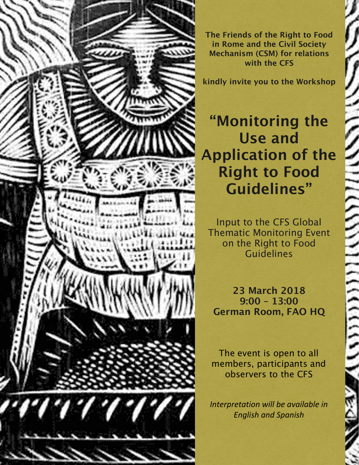

**The Friends of the Right to Food in Rome and the Civil Society Mechanism (CSM) for relations with the CFS**

**kindly invite you to the Workshop**

## **"Monitoring the Use and Application of the Right to Food Guidelines"**

Input to the CFS Global Thematic Monitoring Event on the Right to Food Guidelines

**23 March 2018 9:00 – 13:00 German Room, FAO HQ**

ミ

The event is open to all members, participants and observers to the CFS

*Interpretation will be available in English and Spanish*